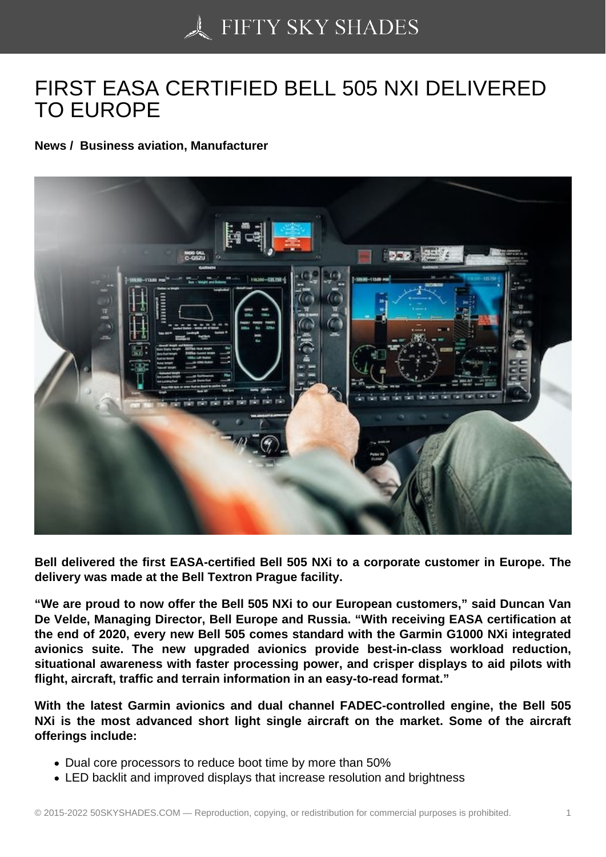## [FIRST EASA CERTIFI](https://50skyshades.com)ED BELL 505 NXI DELIVERED TO EUROPE

News / Business aviation, Manufacturer

Bell delivered the first EASA-certified Bell 505 NXi to a corporate customer in Europe. The delivery was made at the Bell Textron Prague facility.

"We are proud to now offer the Bell 505 NXi to our European customers," said Duncan Van De Velde, Managing Director, Bell Europe and Russia. "With receiving EASA certification at the end of 2020, every new Bell 505 comes standard with the Garmin G1000 NXi integrated avionics suite. The new upgraded avionics provide best-in-class workload reduction, situational awareness with faster processing power, and crisper displays to aid pilots with flight, aircraft, traffic and terrain information in an easy-to-read format."

With the latest Garmin avionics and dual channel FADEC-controlled engine, the Bell 505 NXi is the most advanced short light single aircraft on the market. Some of the aircraft offerings include:

- Dual core processors to reduce boot time by more than 50%
- LED backlit and improved displays that increase resolution and brightness